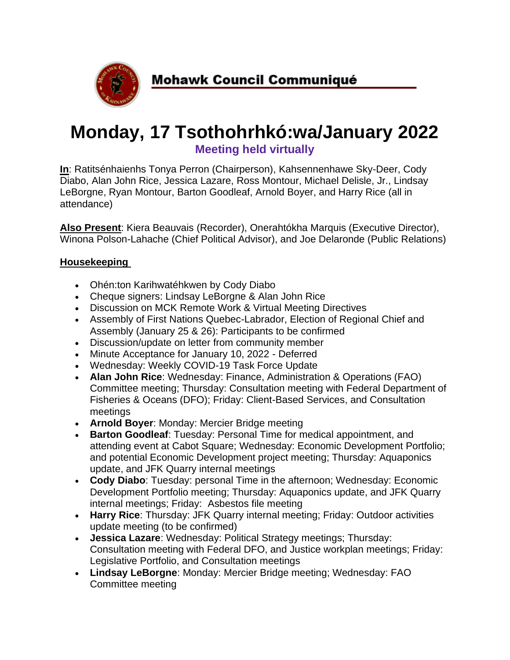

# **Monday, 17 Tsothohrhkó:wa/January 2022 Meeting held virtually**

**In**: Ratitsénhaienhs Tonya Perron (Chairperson), Kahsennenhawe Sky-Deer, Cody Diabo, Alan John Rice, Jessica Lazare, Ross Montour, Michael Delisle, Jr., Lindsay LeBorgne, Ryan Montour, Barton Goodleaf, Arnold Boyer, and Harry Rice (all in attendance)

**Also Present**: Kiera Beauvais (Recorder), Onerahtókha Marquis (Executive Director), Winona Polson-Lahache (Chief Political Advisor), and Joe Delaronde (Public Relations)

#### **Housekeeping**

- Ohén:ton Karihwatéhkwen by Cody Diabo
- Cheque signers: Lindsay LeBorgne & Alan John Rice
- Discussion on MCK Remote Work & Virtual Meeting Directives
- Assembly of First Nations Quebec-Labrador, Election of Regional Chief and Assembly (January 25 & 26): Participants to be confirmed
- Discussion/update on letter from community member
- Minute Acceptance for January 10, 2022 Deferred
- Wednesday: Weekly COVID-19 Task Force Update
- **Alan John Rice**: Wednesday: Finance, Administration & Operations (FAO) Committee meeting; Thursday: Consultation meeting with Federal Department of Fisheries & Oceans (DFO); Friday: Client-Based Services, and Consultation meetings
- **Arnold Boyer**: Monday: Mercier Bridge meeting
- **Barton Goodleaf**: Tuesday: Personal Time for medical appointment, and attending event at Cabot Square; Wednesday: Economic Development Portfolio; and potential Economic Development project meeting; Thursday: Aquaponics update, and JFK Quarry internal meetings
- **Cody Diabo**: Tuesday: personal Time in the afternoon; Wednesday: Economic Development Portfolio meeting; Thursday: Aquaponics update, and JFK Quarry internal meetings; Friday: Asbestos file meeting
- **Harry Rice**: Thursday: JFK Quarry internal meeting; Friday: Outdoor activities update meeting (to be confirmed)
- **Jessica Lazare**: Wednesday: Political Strategy meetings; Thursday: Consultation meeting with Federal DFO, and Justice workplan meetings; Friday: Legislative Portfolio, and Consultation meetings
- **Lindsay LeBorgne**: Monday: Mercier Bridge meeting; Wednesday: FAO Committee meeting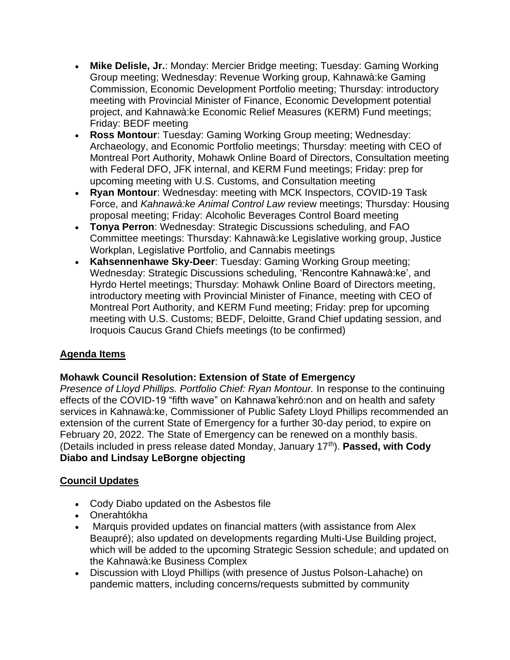- **Mike Delisle, Jr.**: Monday: Mercier Bridge meeting; Tuesday: Gaming Working Group meeting; Wednesday: Revenue Working group, Kahnawà:ke Gaming Commission, Economic Development Portfolio meeting; Thursday: introductory meeting with Provincial Minister of Finance, Economic Development potential project, and Kahnawà:ke Economic Relief Measures (KERM) Fund meetings; Friday: BEDF meeting
- **Ross Montour**: Tuesday: Gaming Working Group meeting; Wednesday: Archaeology, and Economic Portfolio meetings; Thursday: meeting with CEO of Montreal Port Authority, Mohawk Online Board of Directors, Consultation meeting with Federal DFO, JFK internal, and KERM Fund meetings; Friday: prep for upcoming meeting with U.S. Customs, and Consultation meeting
- **Ryan Montour**: Wednesday: meeting with MCK Inspectors, COVID-19 Task Force, and *Kahnawà:ke Animal Control Law* review meetings; Thursday: Housing proposal meeting; Friday: Alcoholic Beverages Control Board meeting
- **Tonya Perron**: Wednesday: Strategic Discussions scheduling, and FAO Committee meetings: Thursday: Kahnawà:ke Legislative working group, Justice Workplan, Legislative Portfolio, and Cannabis meetings
- **Kahsennenhawe Sky-Deer**: Tuesday: Gaming Working Group meeting; Wednesday: Strategic Discussions scheduling, 'Rencontre Kahnawà:ke', and Hyrdo Hertel meetings; Thursday: Mohawk Online Board of Directors meeting, introductory meeting with Provincial Minister of Finance, meeting with CEO of Montreal Port Authority, and KERM Fund meeting; Friday: prep for upcoming meeting with U.S. Customs; BEDF, Deloitte, Grand Chief updating session, and Iroquois Caucus Grand Chiefs meetings (to be confirmed)

## **Agenda Items**

#### **Mohawk Council Resolution: Extension of State of Emergency**

*Presence of Lloyd Phillips. Portfolio Chief: Ryan Montour.* In response to the continuing effects of the COVID-19 "fifth wave" on Kahnawa'kehró:non and on health and safety services in Kahnawà:ke, Commissioner of Public Safety Lloyd Phillips recommended an extension of the current State of Emergency for a further 30-day period, to expire on February 20, 2022. The State of Emergency can be renewed on a monthly basis. (Details included in press release dated Monday, January 17th). **Passed, with Cody Diabo and Lindsay LeBorgne objecting**

## **Council Updates**

- Cody Diabo updated on the Asbestos file
- Onerahtókha
- Marquis provided updates on financial matters (with assistance from Alex Beaupré); also updated on developments regarding Multi-Use Building project, which will be added to the upcoming Strategic Session schedule; and updated on the Kahnawà:ke Business Complex
- Discussion with Lloyd Phillips (with presence of Justus Polson-Lahache) on pandemic matters, including concerns/requests submitted by community